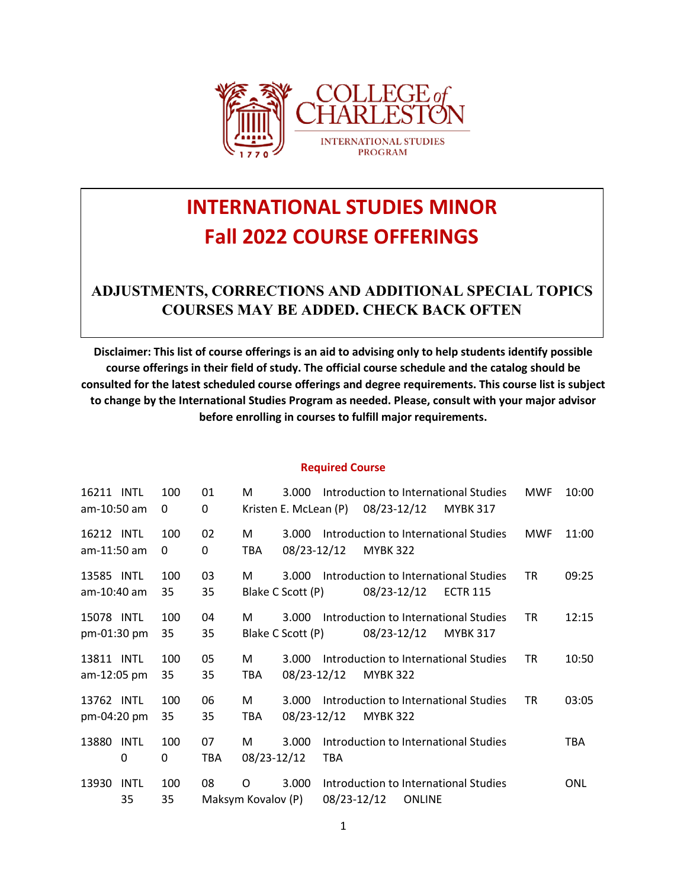

# **INTERNATIONAL STUDIES MINOR Fall 2022 COURSE OFFERINGS**

### **ADJUSTMENTS, CORRECTIONS AND ADDITIONAL SPECIAL TOPICS COURSES MAY BE ADDED. CHECK BACK OFTEN**

**Disclaimer: This list of course offerings is an aid to advising only to help students identify possible course offerings in their field of study. The official course schedule and the catalog should be consulted for the latest scheduled course offerings and degree requirements. This course list is subject to change by the International Studies Program as needed. Please, consult with your major advisor before enrolling in courses to fulfill major requirements.**

#### **Required Course**

| 16211 INTL<br>am-10:50 am  | 100<br>0  | 01<br>0          | м                       | 3.000<br>Kristen E. McLean (P) |             | 08/23-12/12     |               | Introduction to International Studies<br><b>MYBK 317</b> | <b>MWF</b> | 10:00      |
|----------------------------|-----------|------------------|-------------------------|--------------------------------|-------------|-----------------|---------------|----------------------------------------------------------|------------|------------|
| 16212 INTL<br>am-11:50 am  | 100<br>0  | 02<br>0          | М<br>TBA.               | 3.000<br>08/23-12/12           |             | <b>MYBK 322</b> |               | Introduction to International Studies                    | <b>MWF</b> | 11:00      |
| 13585 INTL<br>am-10:40 am  | 100<br>35 | 03<br>35         | М                       | 3.000<br>Blake C Scott (P)     |             | 08/23-12/12     |               | Introduction to International Studies<br><b>ECTR 115</b> | <b>TR</b>  | 09:25      |
| 15078 INTL<br>pm-01:30 pm  | 100<br>35 | 04<br>35         | м                       | 3.000<br>Blake C Scott (P)     |             | 08/23-12/12     |               | Introduction to International Studies<br><b>MYBK 317</b> | <b>TR</b>  | 12:15      |
| 13811 INTL<br>am-12:05 pm  | 100<br>35 | 05<br>35         | M<br>TBA                | 3.000<br>08/23-12/12           |             | <b>MYBK 322</b> |               | Introduction to International Studies                    | <b>TR</b>  | 10:50      |
| 13762 INTL<br>pm-04:20 pm  | 100<br>35 | 06<br>35         | M<br>TBA                | 3.000<br>08/23-12/12           |             | <b>MYBK 322</b> |               | Introduction to International Studies                    | <b>TR</b>  | 03:05      |
| 13880<br>INTL<br>0         | 100<br>0  | 07<br><b>TBA</b> | м<br>08/23-12/12        | 3.000                          | <b>TBA</b>  |                 |               | Introduction to International Studies                    |            | <b>TBA</b> |
| 13930<br><b>INTL</b><br>35 | 100<br>35 | 08               | 0<br>Maksym Kovalov (P) | 3.000                          | 08/23-12/12 |                 | <b>ONLINE</b> | Introduction to International Studies                    |            | ONL        |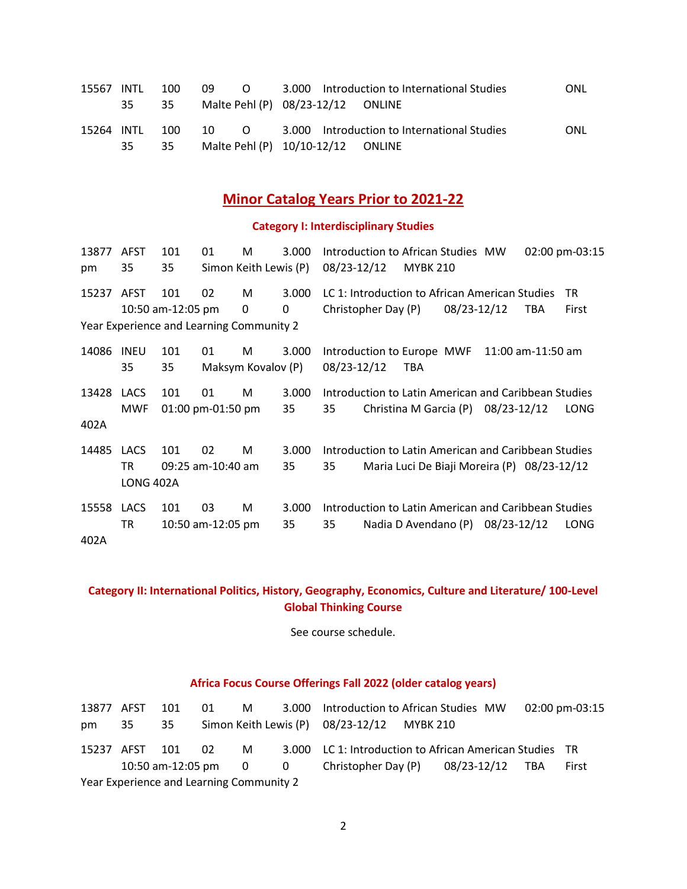| 15567 INTL     | 100 | -09 | $\overline{O}$ | 3.000 Introduction to International Studies                  | <b>ONL</b> |
|----------------|-----|-----|----------------|--------------------------------------------------------------|------------|
| 35             | 35  |     |                | Malte Pehl (P) 08/23-12/12 ONLINE                            |            |
| 15264 INTL 100 |     |     |                | 10 		 		 0 			 3.000 	 Introduction to International Studies | <b>ONL</b> |
| 35             | 35  |     |                | Malte Pehl (P) 10/10-12/12 ONLINE                            |            |

### **Minor Catalog Years Prior to 2021-22**

#### **Category I: Interdisciplinary Studies**

| 13877 | <b>AFST</b>      | 101                                      | 01                | M                     | 3.000 | Introduction to African Studies MW<br>02:00 pm-03:15      |
|-------|------------------|------------------------------------------|-------------------|-----------------------|-------|-----------------------------------------------------------|
| pm    | 35               | 35                                       |                   | Simon Keith Lewis (P) |       | 08/23-12/12<br><b>MYBK 210</b>                            |
| 15237 | AFST             | 101                                      | 02                | M                     | 3.000 | LC 1: Introduction to African American Studies<br>TR.     |
|       |                  | 10:50 am-12:05 pm                        |                   | 0                     | 0     | Christopher Day (P)<br>08/23-12/12<br>First<br><b>TBA</b> |
|       |                  | Year Experience and Learning Community 2 |                   |                       |       |                                                           |
| 14086 | INEU             | 101                                      | 01                | M                     | 3.000 | Introduction to Europe MWF<br>$11:00$ am-11:50 am         |
|       | 35               | 35                                       |                   | Maksym Kovalov (P)    |       | 08/23-12/12<br>TBA                                        |
| 13428 | LACS             | 101                                      | 01                | M                     | 3.000 | Introduction to Latin American and Caribbean Studies      |
|       | <b>MWF</b>       |                                          | 01:00 pm-01:50 pm |                       | 35    | 35<br>Christina M Garcia (P) 08/23-12/12<br>LONG          |
| 402A  |                  |                                          |                   |                       |       |                                                           |
| 14485 | <b>LACS</b>      | 101                                      | 02                | М                     | 3.000 | Introduction to Latin American and Caribbean Studies      |
|       | TR               |                                          | 09:25 am-10:40 am |                       | 35    | 35<br>Maria Luci De Biaji Moreira (P) 08/23-12/12         |
|       | <b>LONG 402A</b> |                                          |                   |                       |       |                                                           |
| 15558 | LACS             | 101                                      | 03                | M                     | 3.000 | Introduction to Latin American and Caribbean Studies      |
|       | TR               |                                          | 10:50 am-12:05 pm |                       | 35    | Nadia D Avendano $(P)$ 08/23-12/12<br>35<br>LONG          |
| 402A  |                  |                                          |                   |                       |       |                                                           |

**Category II: International Politics, History, Geography, Economics, Culture and Literature/ 100-Level Global Thinking Course** 

See course schedule.

### **Africa Focus Course Offerings Fall 2022 (older catalog years)**

| 13877 AFST |                                          | 101 | 01 | M <sub>a</sub> | 3.000 Introduction to African Studies MW                    |  | 02:00 pm-03:15 |
|------------|------------------------------------------|-----|----|----------------|-------------------------------------------------------------|--|----------------|
| pm         | 35                                       | 35  |    |                | Simon Keith Lewis (P) 08/23-12/12 MYBK 210                  |  |                |
|            | 15237 AFST 101                           |     | 02 | M <sub>a</sub> | 3.000 LC 1: Introduction to African American Studies TR     |  |                |
|            |                                          |     |    |                | 10:50 am-12:05 pm 0 0 0 Christopher Day (P) 08/23-12/12 TBA |  | First          |
|            | Year Experience and Learning Community 2 |     |    |                |                                                             |  |                |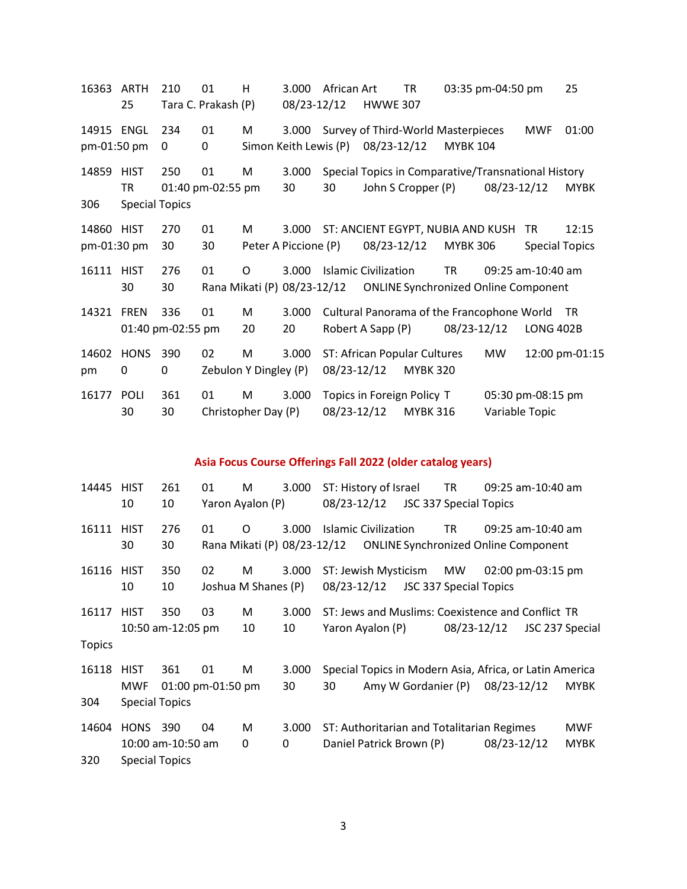ARTH 210 01 H 3.000 African Art TR 03:35 pm-04:50 pm 25 Tara C. Prakash (P) 08/23-12/12 HWWE 307 ENGL 234 01 M 3.000 Survey of Third-World Masterpieces MWF 01:00 pm-01:50 pm 0 0 Simon Keith Lewis (P) 08/23-12/12 MYBK 104 HIST 250 01 M 3.000 Special Topics in Comparative/Transnational History TR 01:40 pm-02:55 pm 30 30 John S Cropper (P) 08/23-12/12 MYBK Special Topics HIST 270 01 M 3.000 ST: ANCIENT EGYPT, NUBIA AND KUSH TR 12:15 pm-01:30 pm 30 30 Peter A Piccione (P) 08/23-12/12 MYBK 306 Special Topics HIST 276 01 O 3.000 Islamic Civilization TR 09:25 am-10:40 am 30 Rana Mikati (P) 08/23-12/12 ONLINE Synchronized Online Component FREN 336 01 M 3.000 Cultural Panorama of the Francophone World TR 01:40 pm-02:55 pm 20 20 Robert A Sapp (P) 08/23-12/12 LONG 402B HONS 390 02 M 3.000 ST: African Popular Cultures MW 12:00 pm-01:15 pm 0 0 Zebulon Y Dingley (P) 08/23-12/12 MYBK 320 POLI 361 01 M 3.000 Topics in Foreign Policy T 05:30 pm-08:15 pm 30 Christopher Day (P) 08/23-12/12 MYBK 316 Variable Topic

#### **Asia Focus Course Offerings Fall 2022 (older catalog years)**

| 14445         | <b>HIST</b>           | 261               | 01                | м                   | 3.000 |             | ST: History of Israel       |                                                         | TR.         | 09:25 am-10:40 am |                 |
|---------------|-----------------------|-------------------|-------------------|---------------------|-------|-------------|-----------------------------|---------------------------------------------------------|-------------|-------------------|-----------------|
|               | 10                    | 10                |                   | Yaron Ayalon (P)    |       | 08/23-12/12 |                             | <b>JSC 337 Special Topics</b>                           |             |                   |                 |
| 16111         | <b>HIST</b>           | 276               | 01                | O                   | 3.000 |             | <b>Islamic Civilization</b> |                                                         | TR          | 09:25 am-10:40 am |                 |
|               | 30                    | 30                |                   |                     |       |             |                             |                                                         |             |                   |                 |
| 16116         | <b>HIST</b>           | 350               | 02                | M                   | 3.000 |             | ST: Jewish Mysticism        |                                                         | MW          | 02:00 pm-03:15 pm |                 |
|               | 10                    | 10                |                   | Joshua M Shanes (P) |       | 08/23-12/12 |                             | JSC 337 Special Topics                                  |             |                   |                 |
| 16117         | <b>HIST</b>           | 350               | 03                | M                   | 3.000 |             |                             | ST: Jews and Muslims: Coexistence and Conflict TR       |             |                   |                 |
|               |                       | 10:50 am-12:05 pm |                   | 10                  | 10    |             | Yaron Ayalon (P)            |                                                         | 08/23-12/12 |                   | JSC 237 Special |
| <b>Topics</b> |                       |                   |                   |                     |       |             |                             |                                                         |             |                   |                 |
| 16118         | <b>HIST</b>           | 361               | 01                | M                   | 3.000 |             |                             | Special Topics in Modern Asia, Africa, or Latin America |             |                   |                 |
|               | MWF                   |                   | 01:00 pm-01:50 pm |                     | 30    | 30          |                             | Amy W Gordanier (P)                                     |             | 08/23-12/12       | <b>MYBK</b>     |
| 304           | <b>Special Topics</b> |                   |                   |                     |       |             |                             |                                                         |             |                   |                 |
| 14604         | <b>HONS</b>           | - 390             | 04                | M                   | 3.000 |             |                             | ST: Authoritarian and Totalitarian Regimes              |             |                   | <b>MWF</b>      |
|               |                       | 10:00 am-10:50 am |                   | 0                   | 0     |             |                             | Daniel Patrick Brown (P)                                |             | 08/23-12/12       | <b>MYBK</b>     |
| 320           | <b>Special Topics</b> |                   |                   |                     |       |             |                             |                                                         |             |                   |                 |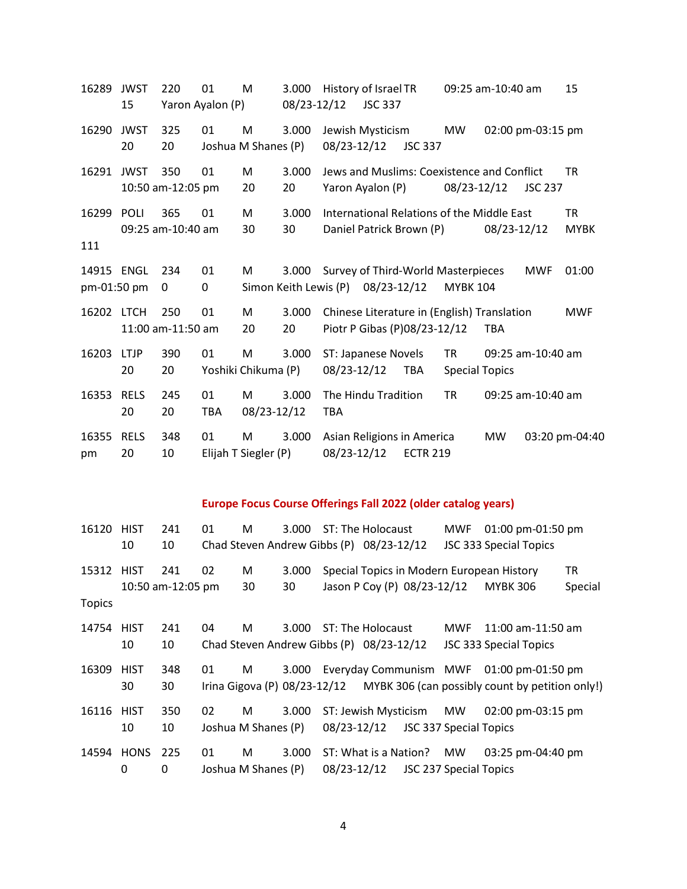| 16289                     | <b>JWST</b><br>15 | 220                      | 01<br>Yaron Ayalon (P) | M                         | 3.000<br>08/23-12/12           | History of Israel TR<br>09:25 am-10:40 am<br>15<br><b>JSC 337</b>                                                 |  |
|---------------------------|-------------------|--------------------------|------------------------|---------------------------|--------------------------------|-------------------------------------------------------------------------------------------------------------------|--|
| 16290                     | <b>JWST</b><br>20 | 325<br>20                | 01                     | M<br>Joshua M Shanes (P)  | 3.000                          | Jewish Mysticism<br>MW<br>02:00 pm-03:15 pm<br>08/23-12/12<br><b>JSC 337</b>                                      |  |
| 16291                     | <b>JWST</b>       | 350<br>10:50 am-12:05 pm | 01                     | M<br>20                   | 3.000<br>20                    | Jews and Muslims: Coexistence and Conflict<br><b>TR</b><br>08/23-12/12<br>Yaron Ayalon (P)<br><b>JSC 237</b>      |  |
| 16299<br>111              | <b>POLI</b>       | 365<br>09:25 am-10:40 am | 01                     | M<br>30                   | 3.000<br>30                    | <b>TR</b><br>International Relations of the Middle East<br>Daniel Patrick Brown (P)<br>08/23-12/12<br><b>MYBK</b> |  |
| 14915 ENGL<br>pm-01:50 pm |                   | 234<br>0                 | 01<br>0                | M                         | 3.000<br>Simon Keith Lewis (P) | Survey of Third-World Masterpieces<br>01:00<br><b>MWF</b><br>08/23-12/12<br><b>MYBK 104</b>                       |  |
| 16202 LTCH                |                   | 250<br>11:00 am-11:50 am | 01                     | M<br>20                   | 3.000<br>20                    | Chinese Literature in (English) Translation<br><b>MWF</b><br>Piotr P Gibas (P)08/23-12/12<br><b>TBA</b>           |  |
| 16203                     | <b>LTJP</b><br>20 | 390<br>20                | 01                     | M<br>Yoshiki Chikuma (P)  | 3.000                          | <b>TR</b><br>ST: Japanese Novels<br>09:25 am-10:40 am<br>08/23-12/12<br><b>TBA</b><br><b>Special Topics</b>       |  |
| 16353                     | <b>RELS</b><br>20 | 245<br>20                | 01<br><b>TBA</b>       | M<br>08/23-12/12          | 3.000                          | <b>TR</b><br>The Hindu Tradition<br>09:25 am-10:40 am<br>TBA                                                      |  |
| 16355<br>pm               | <b>RELS</b><br>20 | 348<br>10                | 01                     | M<br>Elijah T Siegler (P) | 3.000                          | Asian Religions in America<br><b>MW</b><br>03:20 pm-04:40<br>08/23-12/12<br><b>ECTR 219</b>                       |  |

### **Europe Focus Course Offerings Fall 2022 (older catalog years)**

| 16120 HIST    |              | 241               | 01 | М                   |       |             | 3.000 ST: The Holocaust                  |                        | MWF | 01:00 pm-01:50 pm                                                            |         |
|---------------|--------------|-------------------|----|---------------------|-------|-------------|------------------------------------------|------------------------|-----|------------------------------------------------------------------------------|---------|
|               | 10           | 10                |    |                     |       |             | Chad Steven Andrew Gibbs (P) 08/23-12/12 |                        |     | JSC 333 Special Topics                                                       |         |
| 15312 HIST    |              | 241               | 02 | M                   | 3.000 |             |                                          |                        |     | Special Topics in Modern European History                                    | TR      |
|               |              | 10:50 am-12:05 pm |    | 30                  | 30    |             | Jason P Coy (P) 08/23-12/12              |                        |     | <b>MYBK 306</b>                                                              | Special |
| <b>Topics</b> |              |                   |    |                     |       |             |                                          |                        |     |                                                                              |         |
| 14754 HIST    |              | 241               | 04 | м                   | 3.000 |             | ST: The Holocaust                        |                        | MWF | 11:00 am-11:50 am                                                            |         |
|               | 10           | 10                |    |                     |       |             | Chad Steven Andrew Gibbs (P) 08/23-12/12 |                        |     | JSC 333 Special Topics                                                       |         |
| 16309         | <b>HIST</b>  | 348               | 01 | M                   | 3.000 |             |                                          |                        |     | Everyday Communism MWF 01:00 pm-01:50 pm                                     |         |
|               | 30           | 30                |    |                     |       |             |                                          |                        |     | Irina Gigova (P) 08/23-12/12 MYBK 306 (can possibly count by petition only!) |         |
| 16116         | <b>HIST</b>  | 350               | 02 | М                   | 3.000 |             | ST: Jewish Mysticism                     |                        | MW  | 02:00 pm-03:15 pm                                                            |         |
|               | 10           | 10                |    | Joshua M Shanes (P) |       | 08/23-12/12 |                                          | JSC 337 Special Topics |     |                                                                              |         |
| 14594 HONS    |              | 225               | 01 | М                   | 3.000 |             | ST: What is a Nation?                    |                        | MW  | 03:25 pm-04:40 pm                                                            |         |
|               | $\mathbf{0}$ | 0                 |    | Joshua M Shanes (P) |       | 08/23-12/12 |                                          | JSC 237 Special Topics |     |                                                                              |         |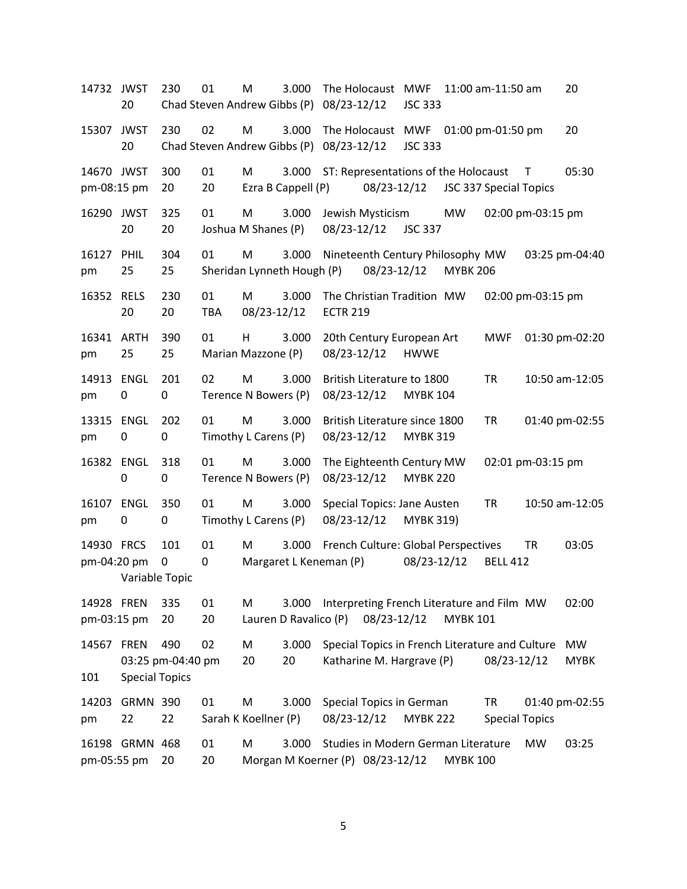| 14732 JWST                | 20                    | 230                      | 01<br>Chad Steven Andrew Gibbs (P) | M                         | 3.000                               | 08/23-12/12     | The Holocaust MWF                                                            | <b>JSC 333</b>   |                 | 11:00 am-11:50 am                  |                   | 20                       |
|---------------------------|-----------------------|--------------------------|------------------------------------|---------------------------|-------------------------------------|-----------------|------------------------------------------------------------------------------|------------------|-----------------|------------------------------------|-------------------|--------------------------|
| 15307                     | <b>JWST</b><br>20     | 230                      | 02<br>Chad Steven Andrew Gibbs (P) | M                         | 3.000                               | 08/23-12/12     | The Holocaust MWF                                                            | <b>JSC 333</b>   |                 | 01:00 pm-01:50 pm                  |                   | 20                       |
| 14670 JWST<br>pm-08:15 pm |                       | 300<br>20                | 01<br>20                           | M                         | 3.000<br>Ezra B Cappell (P)         |                 | ST: Representations of the Holocaust<br>08/23-12/12                          |                  |                 | JSC 337 Special Topics             | $\mathsf{T}$      | 05:30                    |
| 16290 JWST                | 20                    | 325<br>20                | 01                                 | M<br>Joshua M Shanes (P)  | 3.000                               | 08/23-12/12     | Jewish Mysticism                                                             | <b>JSC 337</b>   | MW              |                                    | 02:00 pm-03:15 pm |                          |
| 16127<br>pm               | <b>PHIL</b><br>25     | 304<br>25                | 01                                 | M                         | 3.000<br>Sheridan Lynneth Hough (P) |                 | Nineteenth Century Philosophy MW<br>08/23-12/12                              |                  | <b>MYBK 206</b> |                                    |                   | 03:25 pm-04:40           |
| 16352 RELS                | 20                    | 230<br>20                | 01<br><b>TBA</b>                   | M<br>08/23-12/12          | 3.000                               | <b>ECTR 219</b> | The Christian Tradition MW                                                   |                  |                 |                                    | 02:00 pm-03:15 pm |                          |
| 16341 ARTH<br>pm          | 25                    | 390<br>25                | 01                                 | H<br>Marian Mazzone (P)   | 3.000                               | 08/23-12/12     | 20th Century European Art                                                    | <b>HWWE</b>      |                 | <b>MWF</b>                         |                   | 01:30 pm-02:20           |
| 14913<br>pm               | ENGL<br>0             | 201<br>0                 | 02                                 | M<br>Terence N Bowers (P) | 3.000                               | 08/23-12/12     | British Literature to 1800                                                   | <b>MYBK 104</b>  |                 | <b>TR</b>                          |                   | 10:50 am-12:05           |
| 13315 ENGL<br>pm          | 0                     | 202<br>0                 | 01                                 | M<br>Timothy L Carens (P) | 3.000                               | 08/23-12/12     | British Literature since 1800                                                | <b>MYBK 319</b>  |                 | <b>TR</b>                          |                   | 01:40 pm-02:55           |
| 16382 ENGL                | $\pmb{0}$             | 318<br>0                 | 01                                 | M<br>Terence N Bowers (P) | 3.000                               | 08/23-12/12     | The Eighteenth Century MW                                                    | <b>MYBK 220</b>  |                 |                                    | 02:01 pm-03:15 pm |                          |
| 16107<br>pm               | <b>ENGL</b><br>0      | 350<br>0                 | 01                                 | M<br>Timothy L Carens (P) | 3.000                               | 08/23-12/12     | Special Topics: Jane Austen                                                  | <b>MYBK 319)</b> |                 | <b>TR</b>                          |                   | 10:50 am-12:05           |
| 14930 FRCS<br>pm-04:20 pm | Variable Topic        | 101<br>0                 | 01<br>0                            | M                         | 3.000<br>Margaret L Keneman (P)     |                 | French Culture: Global Perspectives                                          | 08/23-12/12      |                 | <b>BELL 412</b>                    | <b>TR</b>         | 03:05                    |
| 14928 FREN<br>pm-03:15 pm |                       | 335<br>20                | 01<br>20                           | M                         | 3.000<br>Lauren D Ravalico (P)      |                 | Interpreting French Literature and Film MW<br>08/23-12/12                    |                  | <b>MYBK 101</b> |                                    |                   | 02:00                    |
| 14567 FREN<br>101         | <b>Special Topics</b> | 490<br>03:25 pm-04:40 pm | 02                                 | M<br>20                   | 3.000<br>20                         |                 | Special Topics in French Literature and Culture<br>Katharine M. Hargrave (P) |                  |                 | 08/23-12/12                        |                   | <b>MW</b><br><b>MYBK</b> |
| 14203<br>pm               | <b>GRMN 390</b><br>22 | 22                       | 01                                 | M<br>Sarah K Koellner (P) | 3.000                               | 08/23-12/12     | Special Topics in German                                                     | <b>MYBK 222</b>  |                 | <b>TR</b><br><b>Special Topics</b> |                   | 01:40 pm-02:55           |
| pm-05:55 pm               | 16198 GRMN 468        | 20                       | 01<br>20                           | M                         | 3.000                               |                 | Studies in Modern German Literature<br>Morgan M Koerner (P) 08/23-12/12      |                  | <b>MYBK 100</b> |                                    | <b>MW</b>         | 03:25                    |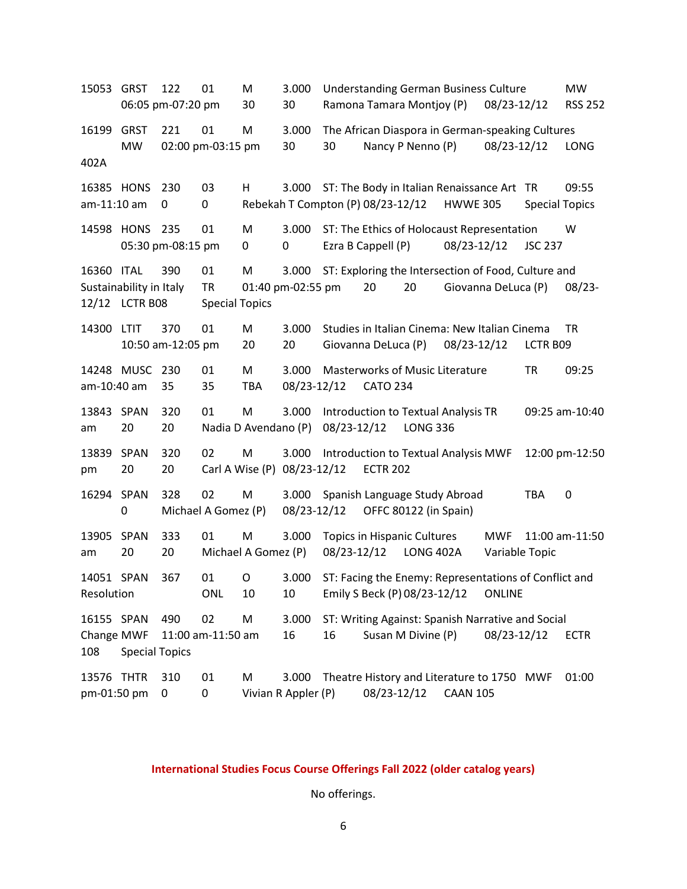15053 GRST 122 01 M 3.000 Understanding German Business Culture MW 06:05 pm-07:20 pm 30 30 Ramona Tamara Montjoy (P) 08/23-12/12 RSS 252 16199 GRST 221 01 M 3.000 The African Diaspora in German-speaking Cultures MW 02:00 pm-03:15 pm 30 30 Nancy P Nenno (P) 08/23-12/12 LONG 402A 16385 HONS 230 03 H 3.000 ST: The Body in Italian Renaissance Art TR 09:55 am-11:10 am 0 0 Rebekah T Compton (P) 08/23-12/12 HWWE 305 Special Topics 14598 HONS 235 01 M 3.000 ST: The Ethics of Holocaust Representation W 05:30 pm-08:15 pm 0 0 Ezra B Cappell (P) 08/23-12/12 JSC 237 16360 ITAL 390 01 M 3.000 ST: Exploring the Intersection of Food, Culture and Sustainability in Italy TR 01:40 pm-02:55 pm 20 20 Giovanna DeLuca (P) 08/23- 12/12 LCTR B08 Special Topics 14300 LTIT 370 01 M 3.000 Studies in Italian Cinema: New Italian Cinema TR 10:50 am-12:05 pm 20 20 Giovanna DeLuca (P) 08/23-12/12 LCTR B09 14248 MUSC 230 01 M 3.000 Masterworks of Music Literature TR 09:25 am-10:40 am 35 35 TBA 08/23-12/12 CATO 234 13843 SPAN 320 01 M 3.000 Introduction to Textual Analysis TR 09:25 am-10:40 am 20 20 Nadia D Avendano (P) 08/23-12/12 LONG 336 13839 SPAN 320 02 M 3.000 Introduction to Textual Analysis MWF 12:00 pm-12:50 pm 20 20 Carl A Wise (P) 08/23-12/12 ECTR 202 16294 SPAN 328 02 M 3.000 Spanish Language Study Abroad TBA 0 0 Michael A Gomez (P) 08/23-12/12 OFFC 80122 (in Spain) 13905 SPAN 333 01 M 3.000 Topics in Hispanic Cultures MWF 11:00 am-11:50 am 20 20 Michael A Gomez (P) 08/23-12/12 LONG 402A Variable Topic 14051 SPAN 367 01 O 3.000 ST: Facing the Enemy: Representations of Conflict and Resolution ONL 10 10 Emily S Beck (P) 08/23-12/12 ONLINE 16155 SPAN 490 02 M 3.000 ST: Writing Against: Spanish Narrative and Social Change MWF 11:00 am-11:50 am 16 16 Susan M Divine (P) 08/23-12/12 ECTR 108 Special Topics 13576 THTR 310 01 M 3.000 Theatre History and Literature to 1750 MWF 01:00 pm-01:50 pm 0 0 Vivian R Appler (P) 08/23-12/12 CAAN 105

#### **International Studies Focus Course Offerings Fall 2022 (older catalog years)**

No offerings.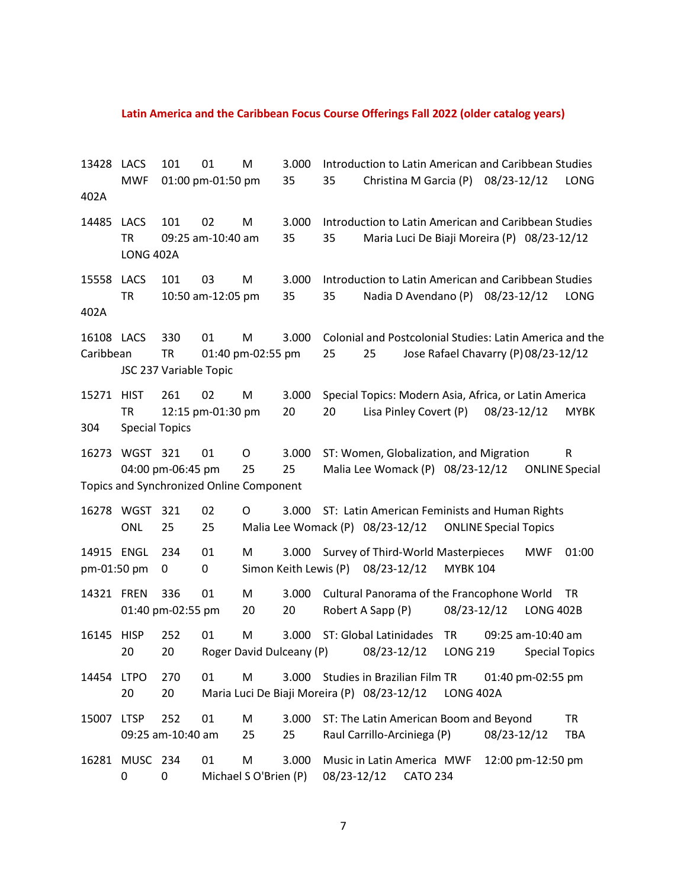#### **Latin America and the Caribbean Focus Course Offerings Fall 2022 (older catalog years)**

13428 LACS 101 01 M 3.000 Introduction to Latin American and Caribbean Studies MWF 01:00 pm-01:50 pm 35 35 Christina M Garcia (P) 08/23-12/12 LONG 402A 14485 LACS 101 02 M 3.000 Introduction to Latin American and Caribbean Studies TR 09:25 am-10:40 am 35 35 Maria Luci De Biaji Moreira (P) 08/23-12/12 LONG 402A 15558 LACS 101 03 M 3.000 Introduction to Latin American and Caribbean Studies TR 10:50 am-12:05 pm 35 35 Nadia D Avendano (P) 08/23-12/12 LONG 402A 16108 LACS 330 01 M 3.000 Colonial and Postcolonial Studies: Latin America and the Caribbean TR 01:40 pm-02:55 pm 25 25 Jose Rafael Chavarry (P)08/23-12/12 JSC 237 Variable Topic 15271 HIST 261 02 M 3.000 Special Topics: Modern Asia, Africa, or Latin America TR 12:15 pm-01:30 pm 20 20 Lisa Pinley Covert (P) 08/23-12/12 MYBK 304 Special Topics 16273 WGST 321 01 O 3.000 ST: Women, Globalization, and Migration R 04:00 pm-06:45 pm 25 25 Malia Lee Womack (P) 08/23-12/12 ONLINE Special Topics and Synchronized Online Component 16278 WGST 321 02 O 3.000 ST: Latin American Feminists and Human Rights ONL 25 25 Malia Lee Womack (P) 08/23-12/12 ONLINE Special Topics 14915 ENGL 234 01 M 3.000 Survey of Third-World Masterpieces MWF 01:00 pm-01:50 pm 0 0 Simon Keith Lewis (P) 08/23-12/12 MYBK 104 14321 FREN 336 01 M 3.000 Cultural Panorama of the Francophone World TR 01:40 pm-02:55 pm 20 20 Robert A Sapp (P) 08/23-12/12 LONG 402B 16145 HISP 252 01 M 3.000 ST: Global Latinidades TR 09:25 am-10:40 am 20 20 Roger David Dulceany (P) 08/23-12/12 LONG 219 Special Topics 14454 LTPO 270 01 M 3.000 Studies in Brazilian Film TR 01:40 pm-02:55 pm 20 20 Maria Luci De Biaji Moreira (P) 08/23-12/12 LONG 402A 15007 LTSP 252 01 M 3.000 ST: The Latin American Boom and Beyond TR 09:25 am-10:40 am 25 25 Raul Carrillo-Arciniega (P) 08/23-12/12 TBA 16281 MUSC 234 01 M 3.000 Music in Latin America MWF 12:00 pm-12:50 pm 0 0 Michael S O'Brien (P) 08/23-12/12 CATO 234

7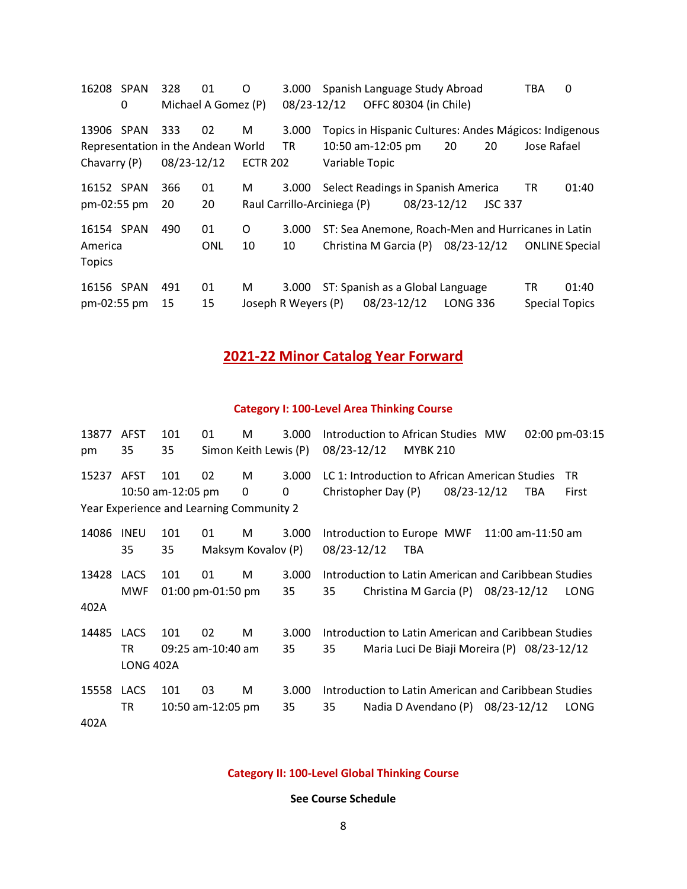| 16208         | <b>SPAN</b>                        | 328         | 01                  | O               | 3.000               | Spanish Language Study Abroad                          |                       |             |                 |                | <b>TBA</b>            | 0                     |
|---------------|------------------------------------|-------------|---------------------|-----------------|---------------------|--------------------------------------------------------|-----------------------|-------------|-----------------|----------------|-----------------------|-----------------------|
|               | 0                                  |             | Michael A Gomez (P) |                 | 08/23-12/12         |                                                        | OFFC 80304 (in Chile) |             |                 |                |                       |                       |
| 13906 SPAN    |                                    | 333         | 02                  | M               | 3.000               | Topics in Hispanic Cultures: Andes Mágicos: Indigenous |                       |             |                 |                |                       |                       |
|               | Representation in the Andean World |             |                     |                 | <b>TR</b>           | 10:50 am-12:05 pm                                      |                       |             | 20              | 20             | Jose Rafael           |                       |
| Chavarry (P)  |                                    | 08/23-12/12 |                     | <b>ECTR 202</b> |                     | Variable Topic                                         |                       |             |                 |                |                       |                       |
| 16152 SPAN    |                                    | 366         | 01                  | М               | 3.000               | Select Readings in Spanish America                     |                       |             |                 |                | TR                    | 01:40                 |
| pm-02:55 pm   |                                    | 20          | 20                  |                 |                     | Raul Carrillo-Arciniega (P)                            |                       | 08/23-12/12 |                 | <b>JSC 337</b> |                       |                       |
| 16154 SPAN    |                                    | 490         | 01                  | O               | 3.000               | ST: Sea Anemone, Roach-Men and Hurricanes in Latin     |                       |             |                 |                |                       |                       |
| America       |                                    |             | ONL                 | 10              | 10                  | Christina M Garcia (P) 08/23-12/12                     |                       |             |                 |                |                       | <b>ONLINE Special</b> |
| <b>Topics</b> |                                    |             |                     |                 |                     |                                                        |                       |             |                 |                |                       |                       |
| 16156 SPAN    |                                    | 491         | 01                  | М               | 3.000               | ST: Spanish as a Global Language                       |                       |             |                 |                | ΤR                    | 01:40                 |
| pm-02:55 pm   |                                    | 15          | 15                  |                 | Joseph R Weyers (P) |                                                        | 08/23-12/12           |             | <b>LONG 336</b> |                | <b>Special Topics</b> |                       |

## **2021-22 Minor Catalog Year Forward**

### **Category I: 100-Level Area Thinking Course**

| 13877 | <b>AFST</b> | 101                                      | 01                | M                     | 3.000 | Introduction to African Studies MW<br>02:00 pm-03:15  |
|-------|-------------|------------------------------------------|-------------------|-----------------------|-------|-------------------------------------------------------|
| pm    | 35          | 35                                       |                   | Simon Keith Lewis (P) |       | 08/23-12/12<br><b>MYBK 210</b>                        |
| 15237 | <b>AFST</b> | 101                                      | 02                | M                     | 3.000 | LC 1: Introduction to African American Studies<br>TR. |
|       |             | 10:50 am-12:05 pm                        |                   | 0                     | 0     | 08/23-12/12<br>Christopher Day (P)<br>First<br>TBA    |
|       |             | Year Experience and Learning Community 2 |                   |                       |       |                                                       |
| 14086 | <b>INEU</b> | 101                                      | 01                | M                     | 3.000 | Introduction to Europe MWF<br>$11:00$ am-11:50 am     |
|       | 35          | 35                                       |                   | Maksym Kovalov (P)    |       | 08/23-12/12<br>TBA                                    |
| 13428 | <b>LACS</b> | 101                                      | 01                | M                     | 3.000 | Introduction to Latin American and Caribbean Studies  |
|       | <b>MWF</b>  |                                          | 01:00 pm-01:50 pm |                       | 35    | 35<br>Christina M Garcia $(P)$ 08/23-12/12<br>LONG    |
| 402A  |             |                                          |                   |                       |       |                                                       |
| 14485 | <b>LACS</b> | 101                                      | 02                | М                     | 3.000 | Introduction to Latin American and Caribbean Studies  |
|       | <b>TR</b>   |                                          | 09:25 am-10:40 am |                       | 35    | 35<br>Maria Luci De Biaji Moreira (P) 08/23-12/12     |
|       | LONG 402A   |                                          |                   |                       |       |                                                       |
| 15558 | <b>LACS</b> | 101                                      | 03                | M                     | 3.000 | Introduction to Latin American and Caribbean Studies  |
|       | TR          |                                          | 10:50 am-12:05 pm |                       | 35    | 35<br>Nadia D Avendano $(P)$ 08/23-12/12<br>LONG      |
| 402A  |             |                                          |                   |                       |       |                                                       |

### **Category II: 100-Level Global Thinking Course**

**See Course Schedule**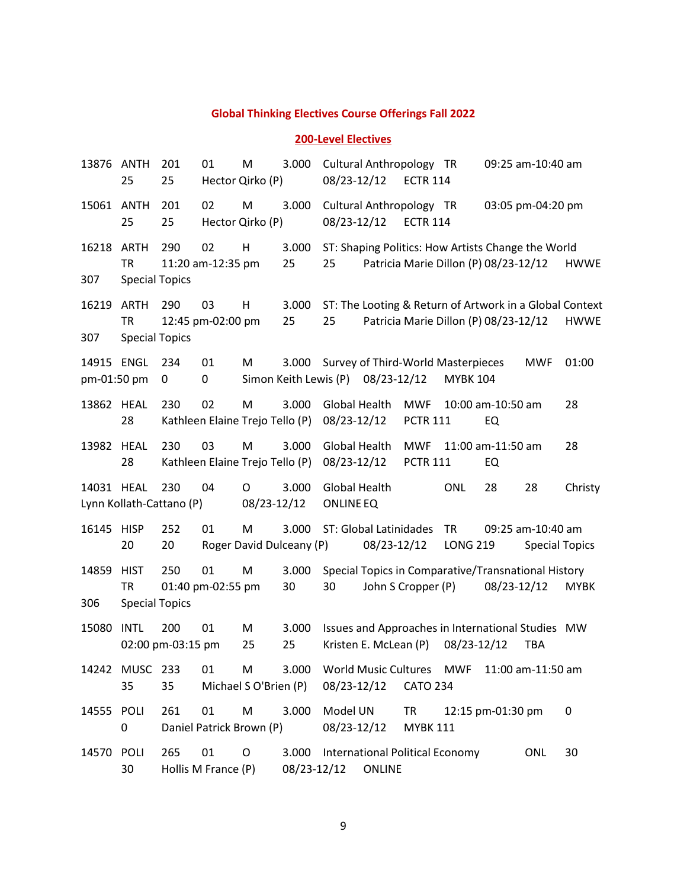#### **Global Thinking Electives Course Offerings Fall 2022**

#### **200-Level Electives**

 ANTH 201 01 M 3.000 Cultural Anthropology TR 09:25 am-10:40 am 25 Hector Qirko (P) 08/23-12/12 ECTR 114 ANTH 201 02 M 3.000 Cultural Anthropology TR 03:05 pm-04:20 pm 25 Hector Qirko (P) 08/23-12/12 ECTR 114 ARTH 290 02 H 3.000 ST: Shaping Politics: How Artists Change the World TR 11:20 am-12:35 pm 25 25 Patricia Marie Dillon (P) 08/23-12/12 HWWE Special Topics ARTH 290 03 H 3.000 ST: The Looting & Return of Artwork in a Global Context TR 12:45 pm-02:00 pm 25 25 Patricia Marie Dillon (P) 08/23-12/12 HWWE Special Topics ENGL 234 01 M 3.000 Survey of Third-World Masterpieces MWF 01:00 pm-01:50 pm 0 0 Simon Keith Lewis (P) 08/23-12/12 MYBK 104 HEAL 230 02 M 3.000 Global Health MWF 10:00 am-10:50 am 28 Kathleen Elaine Trejo Tello (P) 08/23-12/12 PCTR 111 EQ HEAL 230 03 M 3.000 Global Health MWF 11:00 am-11:50 am 28 Kathleen Elaine Trejo Tello (P) 08/23-12/12 PCTR 111 EQ HEAL 230 04 O 3.000 Global Health ONL 28 28 Christy Lynn Kollath-Cattano (P) 08/23-12/12 ONLINE EQ HISP 252 01 M 3.000 ST: Global Latinidades TR 09:25 am-10:40 am 20 Roger David Dulceany (P) 08/23-12/12 LONG 219 Special Topics HIST 250 01 M 3.000 Special Topics in Comparative/Transnational History TR 01:40 pm-02:55 pm 30 30 John S Cropper (P) 08/23-12/12 MYBK Special Topics INTL 200 01 M 3.000 Issues and Approaches in International Studies MW 02:00 pm-03:15 pm 25 25 Kristen E. McLean (P) 08/23-12/12 TBA MUSC 233 01 M 3.000 World Music Cultures MWF 11:00 am-11:50 am 35 Michael S O'Brien (P) 08/23-12/12 CATO 234 POLI 261 01 M 3.000 Model UN TR 12:15 pm-01:30 pm 0 Daniel Patrick Brown (P) 08/23-12/12 MYBK 111 POLI 265 01 O 3.000 International Political Economy ONL 30 Hollis M France (P) 08/23-12/12 ONLINE